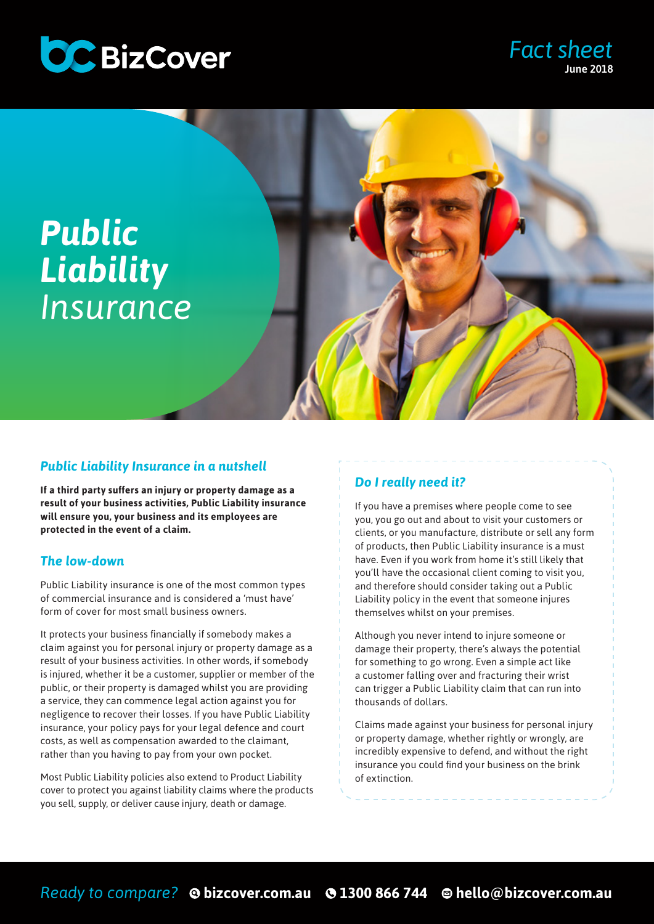

### *Fact sheet* June 2018



#### *Public Liability Insurance in a nutshell*

**If a third party suffers an injury or property damage as a result of your business activities, Public Liability insurance will ensure you, your business and its employees are protected in the event of a claim.** 

#### *The low-down*

Public Liability insurance is one of the most common types of commercial insurance and is considered a 'must have' form of cover for most small business owners.

It protects your business financially if somebody makes a claim against you for personal injury or property damage as a result of your business activities. In other words, if somebody is injured, whether it be a customer, supplier or member of the public, or their property is damaged whilst you are providing a service, they can commence legal action against you for negligence to recover their losses. If you have Public Liability insurance, your policy pays for your legal defence and court costs, as well as compensation awarded to the claimant, rather than you having to pay from your own pocket.

Most Public Liability policies also extend to Product Liability cover to protect you against liability claims where the products you sell, supply, or deliver cause injury, death or damage.

#### *Do I really need it?*

If you have a premises where people come to see you, you go out and about to visit your customers or clients, or you manufacture, distribute or sell any form of products, then Public Liability insurance is a must have. Even if you work from home it's still likely that you'll have the occasional client coming to visit you, and therefore should consider taking out a Public Liability policy in the event that someone injures themselves whilst on your premises.

Although you never intend to injure someone or damage their property, there's always the potential for something to go wrong. Even a simple act like a customer falling over and fracturing their wrist can trigger a Public Liability claim that can run into thousands of dollars.

Claims made against your business for personal injury or property damage, whether rightly or wrongly, are incredibly expensive to defend, and without the right insurance you could find your business on the brink of extinction.